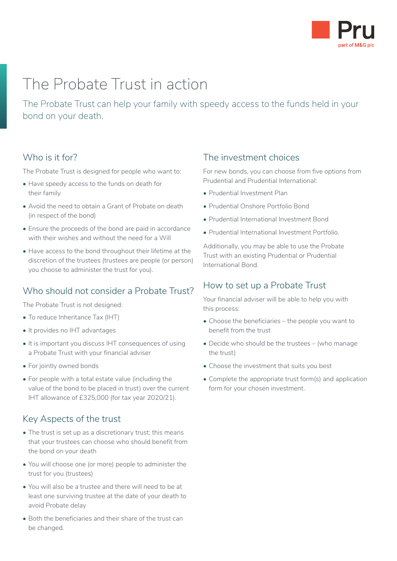

# The Probate Trust in action

The Probate Trust can help your family with speedy access to the funds held in your bond on your death.

### Who is it for?

The Probate Trust is designed for people who want to:

- Have speedy access to the funds on death for their family
- Avoid the need to obtain a Grant of Probate on death (in respect of the bond)
- Ensure the proceeds of the bond are paid in accordance with their wishes and without the need for a Will
- Have access to the bond throughout their lifetime at the discretion of the trustees (trustees are people (or person) you choose to administer the trust for you).

# Who should not consider a Probate Trust?

The Probate Trust is not designed:

- To reduce Inheritance Tax (IHT)
- It provides no IHT advantages
- It is important you discuss IHT consequences of using a Probate Trust with your financial adviser
- For jointly owned bonds
- For people with a total estate value (including the value of the bond to be placed in trust) over the current IHT allowance of £325,000 (for tax year 2020/21).

### Key Aspects of the trust

- The trust is set up as a discretionary trust; this means that your trustees can choose who should benefit from the bond on your death
- You will choose one (or more) people to administer the trust for you (trustees)
- You will also be a trustee and there will need to be at least one surviving trustee at the date of your death to avoid Probate delay
- Both the beneficiaries and their share of the trust can be changed.

### The investment choices

For new bonds, you can choose from five options from Prudential and Prudential International:

- Prudential Investment Plan
- Prudential Onshore Portfolio Bond
- Prudential International Investment Bond
- Prudential International Investment Portfolio.

Additionally, you may be able to use the Probate Trust with an existing Prudential or Prudential International Bond.

# How to set up a Probate Trust

Your financial adviser will be able to help you with this process:

- Choose the beneficiaries the people you want to benefit from the trust
- Decide who should be the trustees (who manage the trust)
- Choose the investment that suits you best
- Complete the appropriate trust form(s) and application form for your chosen investment.